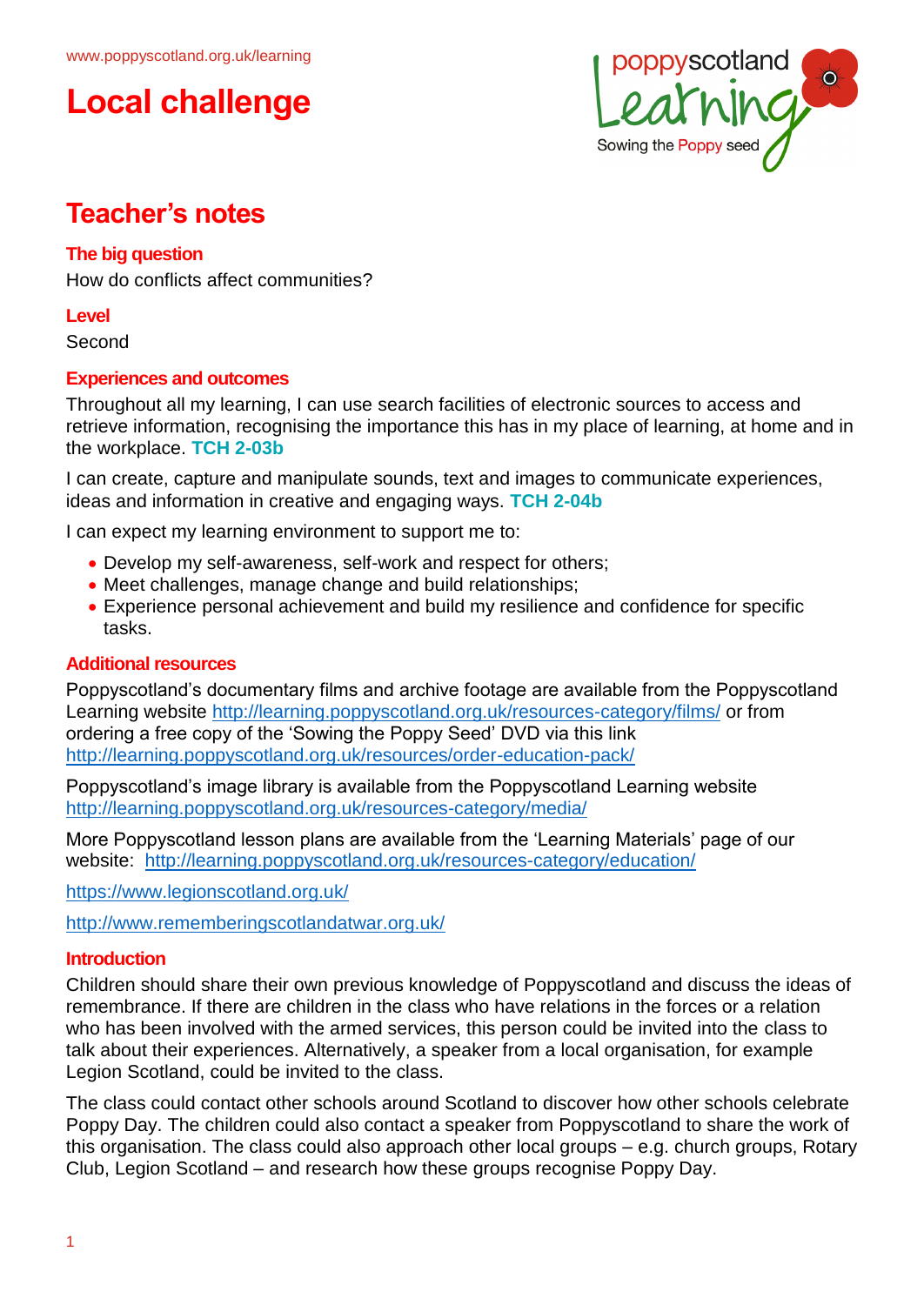



# **Teacher's notes**

### **The big question**

How do conflicts affect communities?

**Level**

Second

### **Experiences and outcomes**

Throughout all my learning, I can use search facilities of electronic sources to access and retrieve information, recognising the importance this has in my place of learning, at home and in the workplace. **TCH 2-03b**

I can create, capture and manipulate sounds, text and images to communicate experiences, ideas and information in creative and engaging ways. **TCH 2-04b**

I can expect my learning environment to support me to:

- Develop my self-awareness, self-work and respect for others;
- Meet challenges, manage change and build relationships;
- Experience personal achievement and build my resilience and confidence for specific tasks.

#### **Additional resources**

Poppyscotland's documentary films and archive footage are available from the Poppyscotland Learning website<http://learning.poppyscotland.org.uk/resources-category/films/> or from ordering a free copy of the 'Sowing the Poppy Seed' DVD via this link <http://learning.poppyscotland.org.uk/resources/order-education-pack/>

Poppyscotland's image library is available from the Poppyscotland Learning website <http://learning.poppyscotland.org.uk/resources-category/media/>

More Poppyscotland lesson plans are available from the 'Learning Materials' page of our website: <http://learning.poppyscotland.org.uk/resources-category/education/>

<https://www.legionscotland.org.uk/>

<http://www.rememberingscotlandatwar.org.uk/>

#### **Introduction**

Children should share their own previous knowledge of Poppyscotland and discuss the ideas of remembrance. If there are children in the class who have relations in the forces or a relation who has been involved with the armed services, this person could be invited into the class to talk about their experiences. Alternatively, a speaker from a local organisation, for example Legion Scotland, could be invited to the class.

The class could contact other schools around Scotland to discover how other schools celebrate Poppy Day. The children could also contact a speaker from Poppyscotland to share the work of this organisation. The class could also approach other local groups – e.g. church groups, Rotary Club, Legion Scotland – and research how these groups recognise Poppy Day.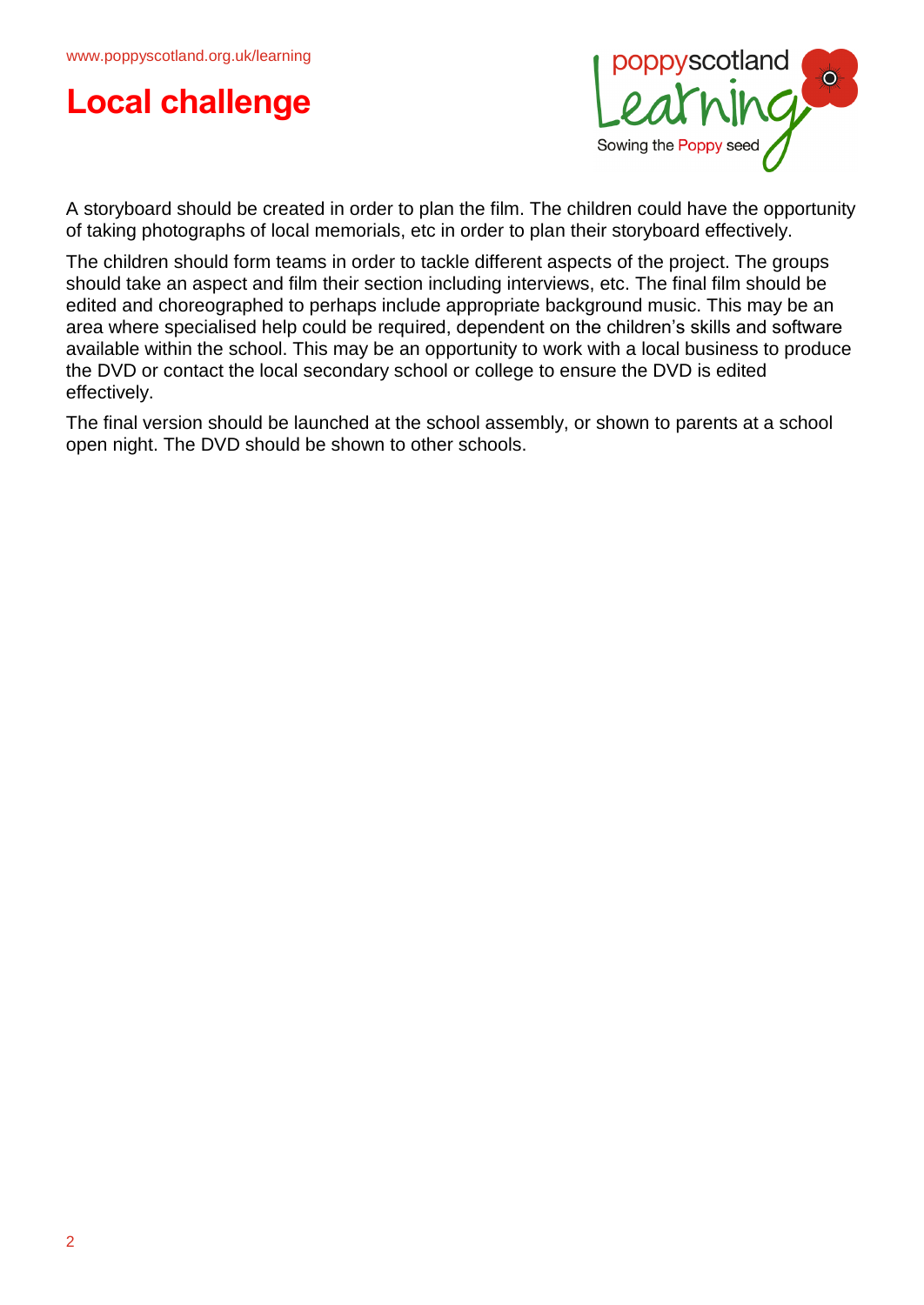



A storyboard should be created in order to plan the film. The children could have the opportunity of taking photographs of local memorials, etc in order to plan their storyboard effectively.

The children should form teams in order to tackle different aspects of the project. The groups should take an aspect and film their section including interviews, etc. The final film should be edited and choreographed to perhaps include appropriate background music. This may be an area where specialised help could be required, dependent on the children's skills and software available within the school. This may be an opportunity to work with a local business to produce the DVD or contact the local secondary school or college to ensure the DVD is edited effectively.

The final version should be launched at the school assembly, or shown to parents at a school open night. The DVD should be shown to other schools.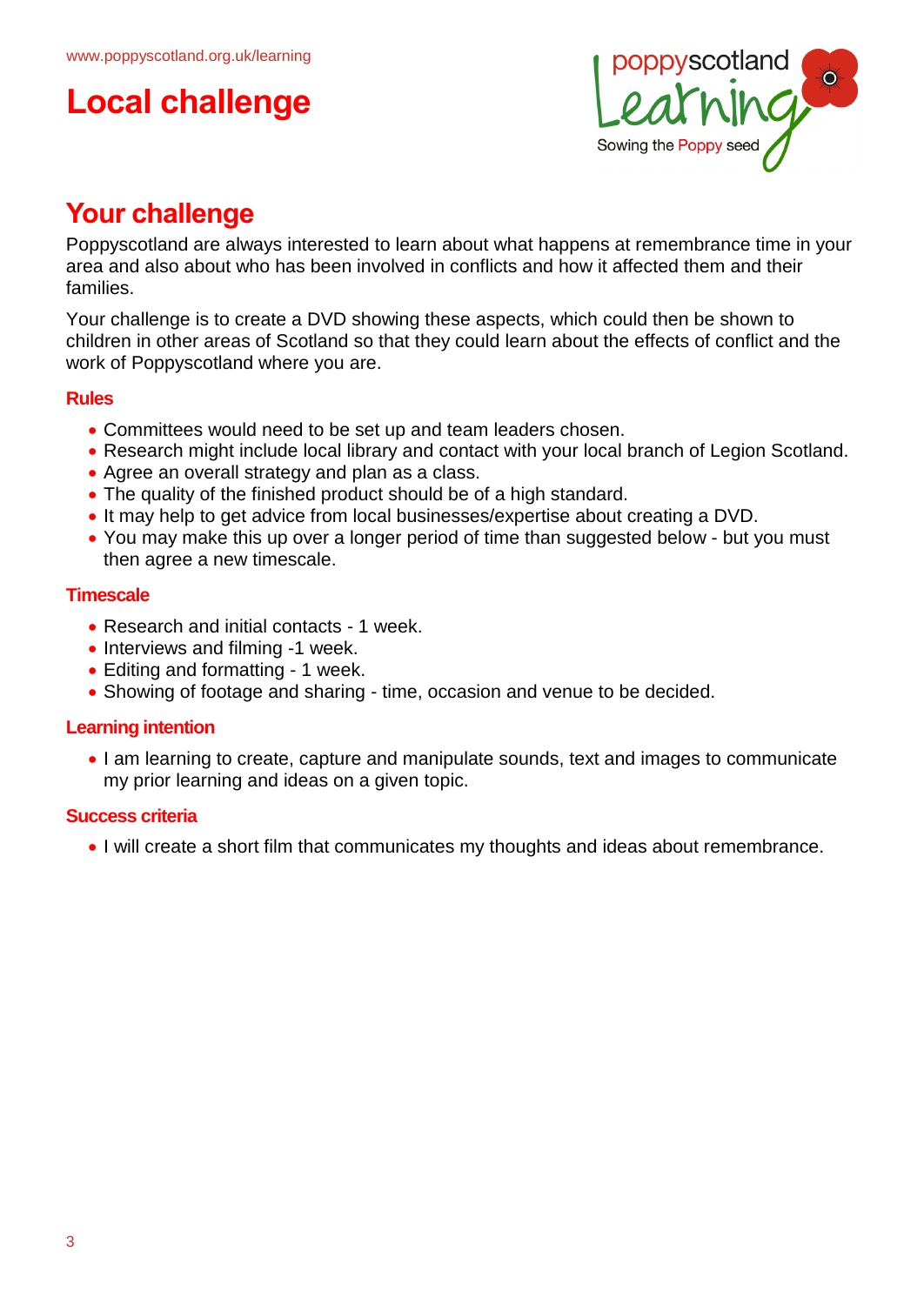# **Local challenge**



# **Your challenge**

Poppyscotland are always interested to learn about what happens at remembrance time in your area and also about who has been involved in conflicts and how it affected them and their families.

Your challenge is to create a DVD showing these aspects, which could then be shown to children in other areas of Scotland so that they could learn about the effects of conflict and the work of Poppyscotland where you are.

## **Rules**

- Committees would need to be set up and team leaders chosen.
- Research might include local library and contact with your local branch of Legion Scotland.
- Agree an overall strategy and plan as a class.
- The quality of the finished product should be of a high standard.
- It may help to get advice from local businesses/expertise about creating a DVD.
- You may make this up over a longer period of time than suggested below but you must then agree a new timescale.

## **Timescale**

- Research and initial contacts 1 week.
- Interviews and filming -1 week.
- Editing and formatting 1 week.
- Showing of footage and sharing time, occasion and venue to be decided.

## **Learning intention**

• I am learning to create, capture and manipulate sounds, text and images to communicate my prior learning and ideas on a given topic.

## **Success criteria**

I will create a short film that communicates my thoughts and ideas about remembrance.